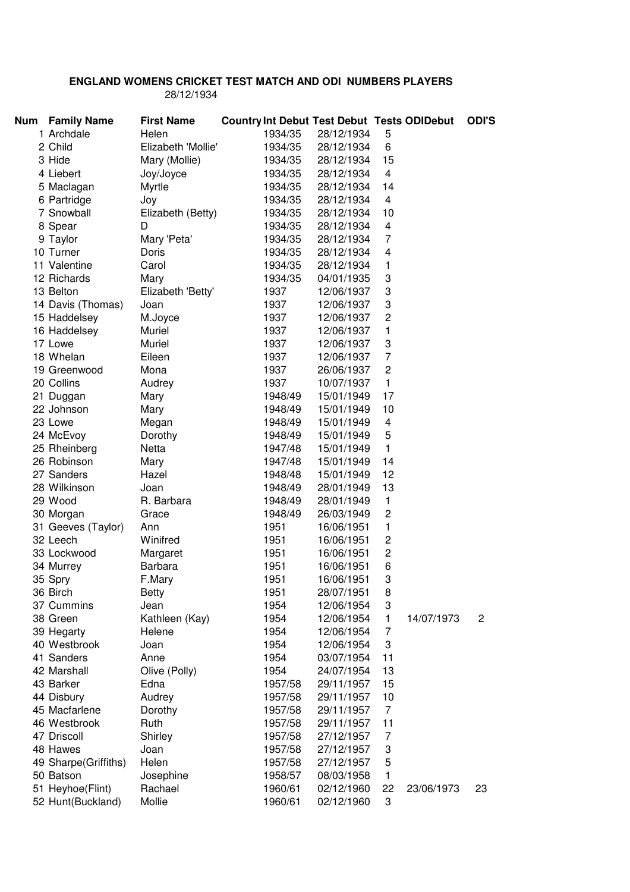## **ENGLAND WOMENS CRICKET TEST MATCH AND ODI NUMBERS PLAYERS**  28/12/1934

| <b>Num</b> | <b>Family Name</b>   | <b>First Name</b>  |         | <b>Country Int Debut Test Debut Tests ODIDebut</b> |                         |            | <b>ODI'S</b>   |
|------------|----------------------|--------------------|---------|----------------------------------------------------|-------------------------|------------|----------------|
|            | 1 Archdale           | Helen              | 1934/35 | 28/12/1934                                         | 5                       |            |                |
|            | 2 Child              | Elizabeth 'Mollie' | 1934/35 | 28/12/1934                                         | 6                       |            |                |
|            | 3 Hide               | Mary (Mollie)      | 1934/35 | 28/12/1934                                         | 15                      |            |                |
|            | 4 Liebert            | Joy/Joyce          | 1934/35 | 28/12/1934                                         | 4                       |            |                |
|            | 5 Maclagan           | Myrtle             | 1934/35 | 28/12/1934                                         | 14                      |            |                |
|            | 6 Partridge          | Joy                | 1934/35 | 28/12/1934                                         | 4                       |            |                |
|            | 7 Snowball           | Elizabeth (Betty)  | 1934/35 | 28/12/1934                                         | 10                      |            |                |
|            | 8 Spear              | D                  | 1934/35 | 28/12/1934                                         | 4                       |            |                |
|            | 9 Taylor             | Mary 'Peta'        | 1934/35 | 28/12/1934                                         | $\overline{7}$          |            |                |
|            | 10 Turner            | Doris              | 1934/35 | 28/12/1934                                         | $\overline{\mathbf{4}}$ |            |                |
|            | 11 Valentine         | Carol              | 1934/35 | 28/12/1934                                         | 1                       |            |                |
|            | 12 Richards          | Mary               | 1934/35 | 04/01/1935                                         | 3                       |            |                |
|            | 13 Belton            | Elizabeth 'Betty'  | 1937    | 12/06/1937                                         | 3                       |            |                |
|            | 14 Davis (Thomas)    | Joan               | 1937    | 12/06/1937                                         | 3                       |            |                |
|            | 15 Haddelsey         | M.Joyce            | 1937    | 12/06/1937                                         | $\overline{c}$          |            |                |
|            | 16 Haddelsey         | Muriel             | 1937    | 12/06/1937                                         | 1                       |            |                |
|            | 17 Lowe              | Muriel             | 1937    | 12/06/1937                                         | 3                       |            |                |
|            | 18 Whelan            | Eileen             | 1937    | 12/06/1937                                         | $\overline{7}$          |            |                |
|            | 19 Greenwood         | Mona               | 1937    | 26/06/1937                                         | $\overline{c}$          |            |                |
|            | 20 Collins           | Audrey             | 1937    | 10/07/1937                                         | 1                       |            |                |
|            | 21 Duggan            | Mary               | 1948/49 | 15/01/1949                                         | 17                      |            |                |
|            | 22 Johnson           | Mary               | 1948/49 | 15/01/1949                                         | 10                      |            |                |
|            | 23 Lowe              | Megan              | 1948/49 | 15/01/1949                                         | 4                       |            |                |
|            | 24 McEvoy            | Dorothy            | 1948/49 | 15/01/1949                                         | 5                       |            |                |
|            | 25 Rheinberg         | Netta              | 1947/48 | 15/01/1949                                         | $\mathbf{1}$            |            |                |
|            | 26 Robinson          | Mary               | 1947/48 | 15/01/1949                                         | 14                      |            |                |
|            | 27 Sanders           | Hazel              | 1948/48 | 15/01/1949                                         | 12                      |            |                |
|            | 28 Wilkinson         | Joan               | 1948/49 | 28/01/1949                                         | 13                      |            |                |
|            | 29 Wood              | R. Barbara         | 1948/49 | 28/01/1949                                         | $\mathbf{1}$            |            |                |
|            | 30 Morgan            | Grace              | 1948/49 | 26/03/1949                                         | $\overline{c}$          |            |                |
|            | 31 Geeves (Taylor)   | Ann                | 1951    | 16/06/1951                                         | 1                       |            |                |
|            | 32 Leech             | Winifred           | 1951    | 16/06/1951                                         | $\overline{c}$          |            |                |
|            | 33 Lockwood          | Margaret           | 1951    | 16/06/1951                                         | $\overline{c}$          |            |                |
|            | 34 Murrey            | Barbara            | 1951    | 16/06/1951                                         | 6                       |            |                |
|            | 35 Spry              | F.Mary             | 1951    | 16/06/1951                                         | 3                       |            |                |
|            | 36 Birch             | <b>Betty</b>       | 1951    | 28/07/1951                                         | 8                       |            |                |
|            | 37 Cummins           | Jean               | 1954    | 12/06/1954                                         | 3                       |            |                |
|            | 38 Green             | Kathleen (Kay)     | 1954    | 12/06/1954                                         | 1                       | 14/07/1973 | $\overline{c}$ |
|            | 39 Hegarty           | Helene             | 1954    | 12/06/1954                                         | $\overline{7}$          |            |                |
|            | 40 Westbrook         | Joan               | 1954    | 12/06/1954                                         | 3                       |            |                |
|            | 41 Sanders           | Anne               | 1954    | 03/07/1954                                         | 11                      |            |                |
|            | 42 Marshall          | Olive (Polly)      | 1954    | 24/07/1954                                         | 13                      |            |                |
|            | 43 Barker            | Edna               | 1957/58 | 29/11/1957                                         | 15                      |            |                |
|            | 44 Disbury           | Audrey             | 1957/58 | 29/11/1957                                         | 10                      |            |                |
|            | 45 Macfarlene        | Dorothy            | 1957/58 | 29/11/1957                                         | $\overline{7}$          |            |                |
|            | 46 Westbrook         | Ruth               | 1957/58 | 29/11/1957                                         | 11                      |            |                |
|            | 47 Driscoll          | Shirley            | 1957/58 | 27/12/1957                                         | 7                       |            |                |
|            | 48 Hawes             | Joan               | 1957/58 | 27/12/1957                                         | 3                       |            |                |
|            | 49 Sharpe(Griffiths) | Helen              | 1957/58 | 27/12/1957                                         | 5                       |            |                |
|            | 50 Batson            | Josephine          | 1958/57 | 08/03/1958                                         | 1                       |            |                |
|            | 51 Heyhoe(Flint)     | Rachael            | 1960/61 | 02/12/1960                                         | 22                      | 23/06/1973 | 23             |
|            | 52 Hunt(Buckland)    | Mollie             | 1960/61 | 02/12/1960                                         | 3                       |            |                |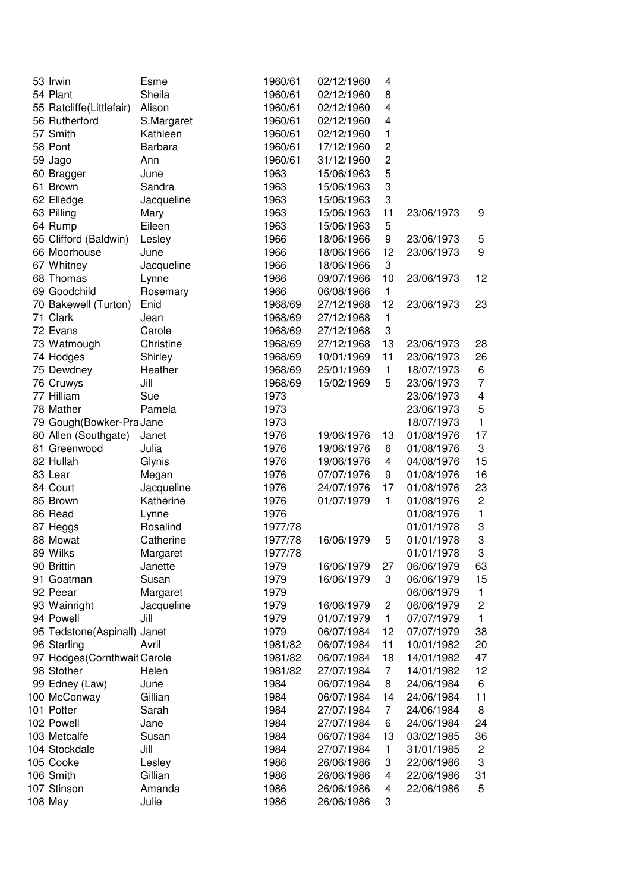| 53 Irwin                     | Esme                    | 1960/61 | 02/12/1960 | 4                       |            |                         |
|------------------------------|-------------------------|---------|------------|-------------------------|------------|-------------------------|
| 54 Plant                     | Sheila                  | 1960/61 | 02/12/1960 | 8                       |            |                         |
| 55 Ratcliffe(Littlefair)     | Alison                  | 1960/61 | 02/12/1960 | 4                       |            |                         |
| 56 Rutherford                | S.Margaret              | 1960/61 | 02/12/1960 | $\overline{\mathbf{4}}$ |            |                         |
| 57 Smith                     | Kathleen                | 1960/61 | 02/12/1960 | $\mathbf{1}$            |            |                         |
| 58 Pont                      | <b>Barbara</b>          | 1960/61 | 17/12/1960 | $\overline{c}$          |            |                         |
| 59 Jago                      | Ann                     | 1960/61 | 31/12/1960 | 2                       |            |                         |
| 60 Bragger                   | June                    | 1963    | 15/06/1963 | 5                       |            |                         |
| 61 Brown                     | Sandra                  | 1963    | 15/06/1963 | 3                       |            |                         |
| 62 Elledge                   | Jacqueline              | 1963    | 15/06/1963 | 3                       |            |                         |
| 63 Pilling                   | Mary                    | 1963    | 15/06/1963 | 11                      | 23/06/1973 | 9                       |
| 64 Rump                      | Eileen                  | 1963    | 15/06/1963 | 5                       |            |                         |
| 65 Clifford (Baldwin)        | Lesley                  | 1966    | 18/06/1966 | 9                       | 23/06/1973 | 5                       |
| 66 Moorhouse                 | June                    | 1966    | 18/06/1966 | 12                      | 23/06/1973 | 9                       |
| 67 Whitney                   | Jacqueline              | 1966    | 18/06/1966 | 3                       |            |                         |
| 68 Thomas                    | Lynne                   | 1966    | 09/07/1966 | 10                      | 23/06/1973 | 12                      |
| 69 Goodchild                 | Rosemary                | 1966    | 06/08/1966 | $\mathbf{1}$            |            |                         |
| 70 Bakewell (Turton)         | Enid                    | 1968/69 | 27/12/1968 | 12                      | 23/06/1973 | 23                      |
| 71 Clark                     | Jean                    | 1968/69 | 27/12/1968 | $\mathbf{1}$            |            |                         |
| 72 Evans                     | Carole                  | 1968/69 | 27/12/1968 | 3                       |            |                         |
| 73 Watmough                  | Christine               | 1968/69 | 27/12/1968 | 13                      | 23/06/1973 | 28                      |
| 74 Hodges                    | Shirley                 | 1968/69 | 10/01/1969 | 11                      | 23/06/1973 | 26                      |
| 75 Dewdney                   | Heather                 | 1968/69 | 25/01/1969 | $\mathbf{1}$            | 18/07/1973 | 6                       |
| 76 Cruwys                    | Jill                    | 1968/69 | 15/02/1969 | 5                       | 23/06/1973 | $\overline{7}$          |
| 77 Hilliam                   | Sue                     | 1973    |            |                         | 23/06/1973 | $\overline{\mathbf{4}}$ |
| 78 Mather                    | Pamela                  | 1973    |            |                         | 23/06/1973 | 5                       |
| 79 Gough (Bowker-Pra Jane    |                         | 1973    |            |                         | 18/07/1973 | $\mathbf{1}$            |
| 80 Allen (Southgate)         | Janet                   | 1976    | 19/06/1976 | 13                      | 01/08/1976 | 17                      |
| 81 Greenwood                 | Julia                   | 1976    | 19/06/1976 | 6                       | 01/08/1976 | $\sqrt{3}$              |
| 82 Hullah                    | Glynis                  | 1976    | 19/06/1976 | 4                       | 04/08/1976 | 15                      |
| 83 Lear                      |                         | 1976    | 07/07/1976 | 9                       | 01/08/1976 | 16                      |
| 84 Court                     | Megan                   | 1976    | 24/07/1976 | 17                      | 01/08/1976 | 23                      |
| 85 Brown                     | Jacqueline<br>Katherine | 1976    | 01/07/1979 | $\mathbf{1}$            | 01/08/1976 | $\boldsymbol{2}$        |
| 86 Read                      |                         |         |            |                         |            | $\mathbf{1}$            |
|                              | Lynne                   | 1976    |            |                         | 01/08/1976 |                         |
| 87 Heggs                     | Rosalind                | 1977/78 |            |                         | 01/01/1978 | 3                       |
| 88 Mowat                     | Catherine               | 1977/78 | 16/06/1979 | 5                       | 01/01/1978 | 3                       |
| 89 Wilks                     | Margaret                | 1977/78 |            |                         | 01/01/1978 | 3                       |
| 90 Brittin                   | Janette                 | 1979    | 16/06/1979 | 27                      | 06/06/1979 | 63                      |
| 91 Goatman                   | Susan                   | 1979    | 16/06/1979 | 3                       | 06/06/1979 | 15                      |
| 92 Peear                     | Margaret                | 1979    |            |                         | 06/06/1979 | $\mathbf{1}$            |
| 93 Wainright                 | Jacqueline              | 1979    | 16/06/1979 | $\overline{\mathbf{c}}$ | 06/06/1979 | $\boldsymbol{2}$        |
| 94 Powell                    | Jill                    | 1979    | 01/07/1979 | $\mathbf{1}$            | 07/07/1979 | $\mathbf{1}$            |
| 95 Tedstone(Aspinall) Janet  |                         | 1979    | 06/07/1984 | 12                      | 07/07/1979 | 38                      |
| 96 Starling                  | Avril                   | 1981/82 | 06/07/1984 | 11                      | 10/01/1982 | 20                      |
| 97 Hodges (Cornthwait Carole |                         | 1981/82 | 06/07/1984 | 18                      | 14/01/1982 | 47                      |
| 98 Stother                   | Helen                   | 1981/82 | 27/07/1984 | 7                       | 14/01/1982 | 12                      |
| 99 Edney (Law)               | June                    | 1984    | 06/07/1984 | 8                       | 24/06/1984 | 6                       |
| 100 McConway                 | Gillian                 | 1984    | 06/07/1984 | 14                      | 24/06/1984 | 11                      |
| 101 Potter                   | Sarah                   | 1984    | 27/07/1984 | $\overline{7}$          | 24/06/1984 | 8                       |
| 102 Powell                   | Jane                    | 1984    | 27/07/1984 | 6                       | 24/06/1984 | 24                      |
| 103 Metcalfe                 | Susan                   | 1984    | 06/07/1984 | 13                      | 03/02/1985 | 36                      |
| 104 Stockdale                | Jill                    | 1984    | 27/07/1984 | $\mathbf{1}$            | 31/01/1985 | $\overline{c}$          |
| 105 Cooke                    | Lesley                  | 1986    | 26/06/1986 | 3                       | 22/06/1986 | 3                       |
| 106 Smith                    | Gillian                 | 1986    | 26/06/1986 | 4                       | 22/06/1986 | 31                      |
| 107 Stinson                  | Amanda                  | 1986    | 26/06/1986 | 4                       | 22/06/1986 | 5                       |
| 108 May                      | Julie                   | 1986    | 26/06/1986 | 3                       |            |                         |
|                              |                         |         |            |                         |            |                         |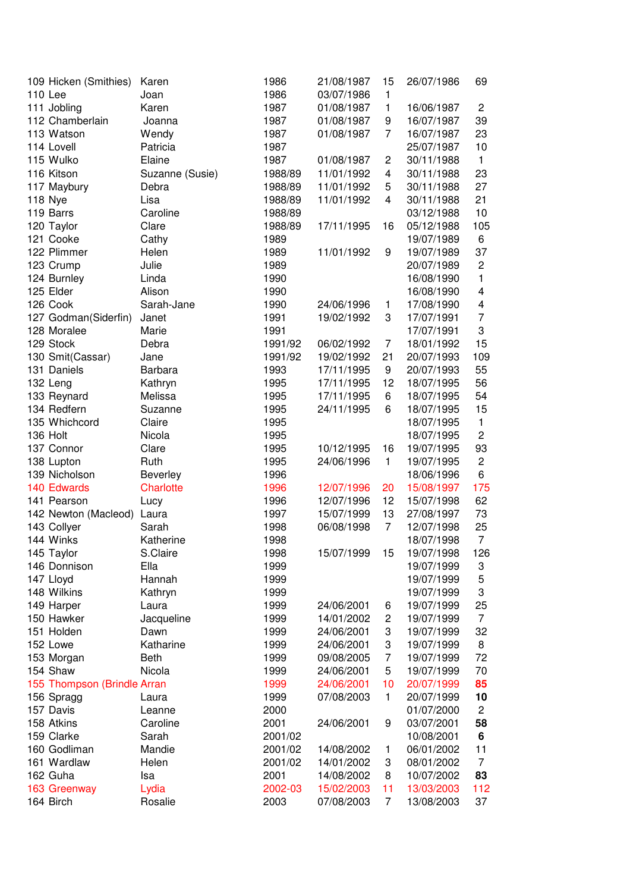| 109 Hicken (Smithies)       | Karen                        | 1986         | 21/08/1987 | 15                  | 26/07/1986               | 69                      |
|-----------------------------|------------------------------|--------------|------------|---------------------|--------------------------|-------------------------|
| 110 Lee                     | Joan                         | 1986         | 03/07/1986 | 1                   |                          |                         |
| 111 Jobling                 | Karen                        | 1987         | 01/08/1987 | 1                   | 16/06/1987               | $\overline{c}$          |
| 112 Chamberlain             | Joanna                       | 1987         | 01/08/1987 | 9                   | 16/07/1987               | 39                      |
| 113 Watson                  | Wendy                        | 1987         | 01/08/1987 | 7                   | 16/07/1987               | 23                      |
| 114 Lovell                  | Patricia                     | 1987         |            |                     | 25/07/1987               | 10                      |
| 115 Wulko                   | Elaine                       | 1987         | 01/08/1987 | $\overline{c}$      | 30/11/1988               | $\mathbf{1}$            |
| 116 Kitson                  | Suzanne (Susie)              | 1988/89      | 11/01/1992 | 4                   | 30/11/1988               | 23                      |
| 117 Maybury                 | Debra                        | 1988/89      | 11/01/1992 | 5                   | 30/11/1988               | 27                      |
| 118 Nye                     | Lisa                         | 1988/89      | 11/01/1992 | 4                   | 30/11/1988               | 21                      |
| 119 Barrs                   | Caroline                     | 1988/89      |            |                     | 03/12/1988               | 10                      |
| 120 Taylor                  | Clare                        | 1988/89      | 17/11/1995 | 16                  | 05/12/1988               | 105                     |
| 121 Cooke                   | Cathy                        | 1989         |            |                     | 19/07/1989               | 6                       |
| 122 Plimmer                 | Helen                        | 1989         | 11/01/1992 | 9                   | 19/07/1989               | 37                      |
| 123 Crump                   | Julie                        | 1989         |            |                     | 20/07/1989               | $\overline{c}$          |
| 124 Burnley                 | Linda                        | 1990         |            |                     | 16/08/1990               | $\mathbf{1}$            |
| 125 Elder                   | Alison                       | 1990         |            |                     | 16/08/1990               | $\overline{\mathbf{4}}$ |
| 126 Cook                    | Sarah-Jane                   | 1990         | 24/06/1996 | 1                   | 17/08/1990               | 4                       |
| 127 Godman(Siderfin)        | Janet                        | 1991         | 19/02/1992 | 3                   | 17/07/1991               | $\overline{7}$          |
| 128 Moralee                 | Marie                        | 1991         |            |                     | 17/07/1991               | 3                       |
| 129 Stock                   | Debra                        | 1991/92      | 06/02/1992 | 7                   | 18/01/1992               | 15                      |
| 130 Smit(Cassar)            | Jane                         | 1991/92      | 19/02/1992 | 21                  | 20/07/1993               | 109                     |
| 131 Daniels                 | Barbara                      | 1993         | 17/11/1995 | 9                   | 20/07/1993               | 55                      |
| 132 Leng                    |                              | 1995         | 17/11/1995 | 12                  | 18/07/1995               | 56                      |
| 133 Reynard                 | Kathryn<br>Melissa           | 1995         | 17/11/1995 | 6                   | 18/07/1995               | 54                      |
| 134 Redfern                 |                              |              |            | 6                   |                          | 15                      |
| 135 Whichcord               | Suzanne<br>Claire            | 1995         | 24/11/1995 |                     | 18/07/1995               | $\mathbf{1}$            |
| 136 Holt                    | Nicola                       | 1995<br>1995 |            |                     | 18/07/1995<br>18/07/1995 | $\overline{c}$          |
| 137 Connor                  |                              |              | 10/12/1995 | 16                  | 19/07/1995               | 93                      |
|                             | Clare                        | 1995         |            | $\mathbf{1}$        |                          | $\overline{c}$          |
| 138 Lupton<br>139 Nicholson | Ruth                         | 1995         | 24/06/1996 |                     | 19/07/1995               | 6                       |
| 140 Edwards                 | Beverley<br><b>Charlotte</b> | 1996<br>1996 | 12/07/1996 | 20                  | 18/06/1996<br>15/08/1997 | 175                     |
| 141 Pearson                 |                              | 1996         | 12/07/1996 | 12                  | 15/07/1998               | 62                      |
| 142 Newton (Macleod)        | Lucy<br>Laura                | 1997         | 15/07/1999 | 13                  | 27/08/1997               | 73                      |
|                             | Sarah                        | 1998         | 06/08/1998 | $\overline{7}$      | 12/07/1998               | 25                      |
| 143 Collyer<br>144 Winks    | Katherine                    |              |            |                     | 18/07/1998               | $\overline{7}$          |
|                             | S.Claire                     | 1998         | 15/07/1999 |                     |                          |                         |
| 145 Taylor<br>146 Donnison  | Ella                         | 1998<br>1999 |            | 15                  | 19/07/1998<br>19/07/1999 | 126                     |
|                             | Hannah                       |              |            |                     |                          | 3<br>5                  |
| 147 Lloyd                   |                              | 1999         |            |                     | 19/07/1999               |                         |
| 148 Wilkins<br>149 Harper   | Kathryn                      | 1999         |            |                     | 19/07/1999               | 3                       |
| 150 Hawker                  | Laura                        | 1999         | 24/06/2001 | 6<br>$\overline{c}$ | 19/07/1999               | 25<br>$\overline{7}$    |
| 151 Holden                  | Jacqueline<br>Dawn           | 1999         | 14/01/2002 | 3                   | 19/07/1999               | 32                      |
| 152 Lowe                    | Katharine                    | 1999         | 24/06/2001 | 3                   | 19/07/1999               | 8                       |
|                             |                              | 1999         | 24/06/2001 | $\overline{7}$      | 19/07/1999               |                         |
| 153 Morgan<br>154 Shaw      | Beth                         | 1999         | 09/08/2005 |                     | 19/07/1999               | 72                      |
|                             | Nicola                       | 1999         | 24/06/2001 | 5<br>10             | 19/07/1999<br>20/07/1999 | 70                      |
| 155 Thompson (Brindle Arran |                              | 1999         | 24/06/2001 | $\mathbf{1}$        |                          | 85                      |
| 156 Spragg<br>157 Davis     | Laura                        | 1999         | 07/08/2003 |                     | 20/07/1999               | 10                      |
|                             | Leanne                       | 2000         |            |                     | 01/07/2000               | $\mathbf{2}$            |
| 158 Atkins                  | Caroline                     | 2001         | 24/06/2001 | 9                   | 03/07/2001               | 58                      |
| 159 Clarke                  | Sarah                        | 2001/02      |            |                     | 10/08/2001               | 6                       |
| 160 Godliman                | Mandie                       | 2001/02      | 14/08/2002 | 1                   | 06/01/2002               | 11                      |
| 161 Wardlaw                 | Helen                        | 2001/02      | 14/01/2002 | 3                   | 08/01/2002               | $\overline{7}$          |
| 162 Guha                    | lsa                          | 2001         | 14/08/2002 | 8                   | 10/07/2002               | 83                      |
| 163 Greenway                | Lydia                        | 2002-03      | 15/02/2003 | 11                  | 13/03/2003               | 112                     |
| 164 Birch                   | Rosalie                      | 2003         | 07/08/2003 | 7                   | 13/08/2003               | 37                      |